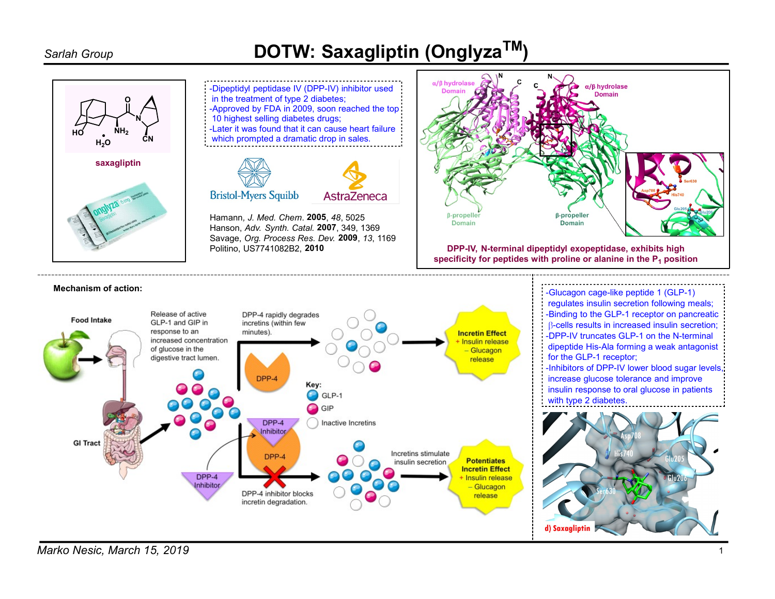## Sarlah Group **Sarlah Group Constant Conglyza<sup>TM</sup>**)



Marko Nesic, March 15, 2019 1